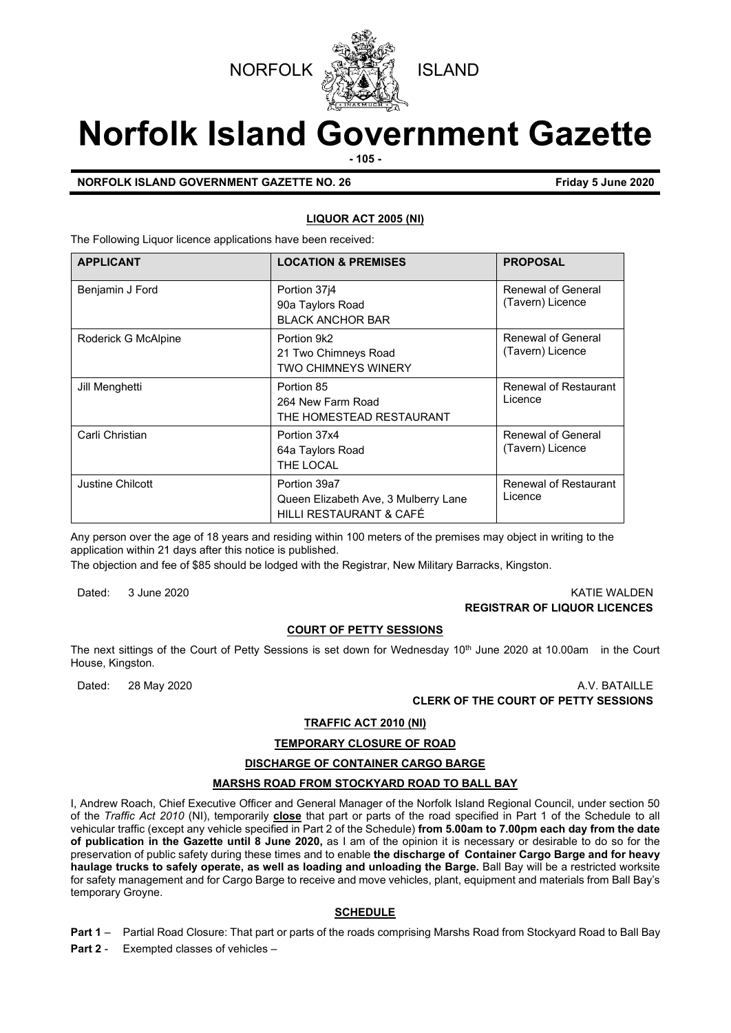



# **Norfolk Island Government Gazette**

**- 105 -**

#### **NORFOLK ISLAND GOVERNMENT GAZETTE NO. 26 Friday 5 June 2020**

#### **LIQUOR ACT 2005 (NI)**

The Following Liquor licence applications have been received:

| <b>APPLICANT</b>    | <b>LOCATION &amp; PREMISES</b>                                                  | <b>PROPOSAL</b>                        |
|---------------------|---------------------------------------------------------------------------------|----------------------------------------|
| Benjamin J Ford     | Portion 3714<br>90a Taylors Road<br><b>BLACK ANCHOR BAR</b>                     | Renewal of General<br>(Tavern) Licence |
| Roderick G McAlpine | Portion 9k2<br>21 Two Chimneys Road<br><b>TWO CHIMNEYS WINERY</b>               | Renewal of General<br>(Tavern) Licence |
| Jill Menghetti      | Portion 85<br>264 New Farm Road<br>THE HOMESTEAD RESTAURANT                     | Renewal of Restaurant<br>Licence       |
| Carli Christian     | Portion 37x4<br>64a Taylors Road<br>THE LOCAL                                   | Renewal of General<br>(Tavern) Licence |
| Justine Chilcott    | Portion 39a7<br>Queen Elizabeth Ave, 3 Mulberry Lane<br>HILLI RESTAURANT & CAFÉ | Renewal of Restaurant<br>Licence       |

Any person over the age of 18 years and residing within 100 meters of the premises may object in writing to the application within 21 days after this notice is published.

The objection and fee of \$85 should be lodged with the Registrar, New Military Barracks, Kingston.

Dated: 3 June 2020 KATIE WALDEN

# **REGISTRAR OF LIQUOR LICENCES**

#### **COURT OF PETTY SESSIONS**

The next sittings of the Court of Petty Sessions is set down for Wednesday 10<sup>th</sup> June 2020 at 10.00am in the Court House, Kingston.

Dated: 28 May 2020 A.V. BATAILLE **CLERK OF THE COURT OF PETTY SESSIONS**

## **TRAFFIC ACT 2010 (NI)**

#### **TEMPORARY CLOSURE OF ROAD**

#### **DISCHARGE OF CONTAINER CARGO BARGE**

#### **MARSHS ROAD FROM STOCKYARD ROAD TO BALL BAY**

I, Andrew Roach, Chief Executive Officer and General Manager of the Norfolk Island Regional Council, under section 50 of the *Traffic Act 2010* (NI), temporarily **close** that part or parts of the road specified in Part 1 of the Schedule to all vehicular traffic (except any vehicle specified in Part 2 of the Schedule) **from 5.00am to 7.00pm each day from the date of publication in the Gazette until 8 June 2020,** as I am of the opinion it is necessary or desirable to do so for the preservation of public safety during these times and to enable **the discharge of Container Cargo Barge and for heavy haulage trucks to safely operate, as well as loading and unloading the Barge.** Ball Bay will be a restricted worksite for safety management and for Cargo Barge to receive and move vehicles, plant, equipment and materials from Ball Bay's temporary Groyne.

#### **SCHEDULE**

**Part 1** – Partial Road Closure: That part or parts of the roads comprising Marshs Road from Stockyard Road to Ball Bay

**Part 2** - Exempted classes of vehicles –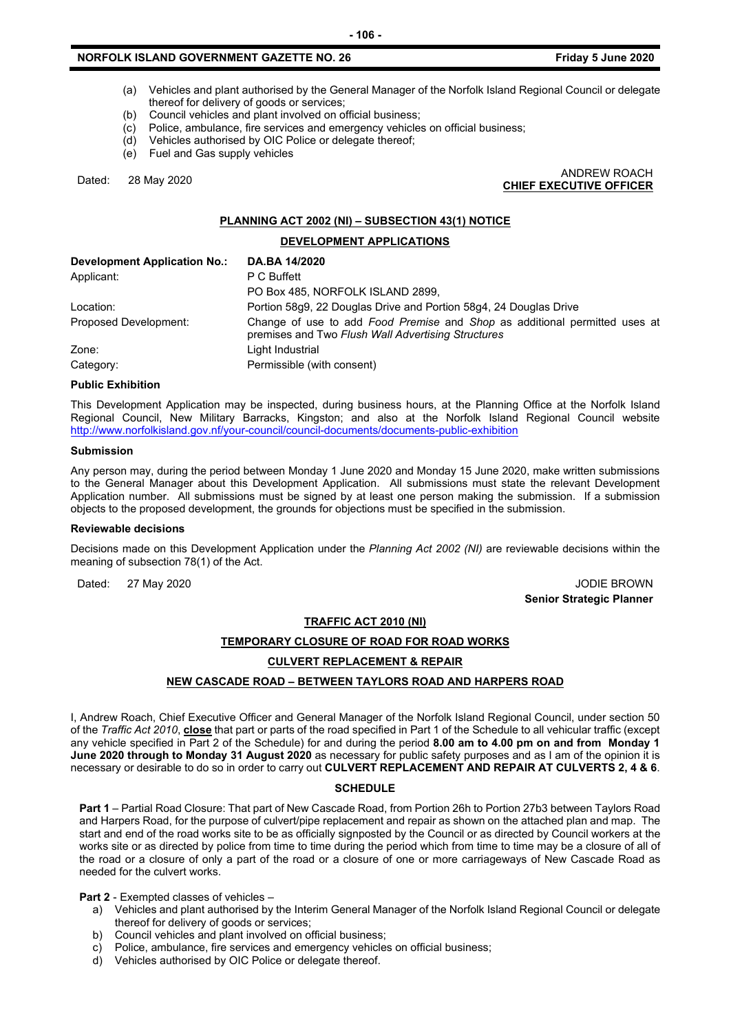- (a) Vehicles and plant authorised by the General Manager of the Norfolk Island Regional Council or delegate thereof for delivery of goods or services;
- (b) Council vehicles and plant involved on official business;
- (c) Police, ambulance, fire services and emergency vehicles on official business;
- (d) Vehicles authorised by OIC Police or delegate thereof;
- (e) Fuel and Gas supply vehicles

Dated: 28 May 2020 ANDREW ROACH **CHIEF EXECUTIVE OFFICER**

#### **PLANNING ACT 2002 (NI) – SUBSECTION 43(1) NOTICE**

#### **DEVELOPMENT APPLICATIONS**

| <b>Development Application No.:</b> | DA.BA 14/2020                                                                                                                    |
|-------------------------------------|----------------------------------------------------------------------------------------------------------------------------------|
| Applicant:                          | P C Buffett                                                                                                                      |
|                                     | PO Box 485, NORFOLK ISLAND 2899,                                                                                                 |
| Location:                           | Portion 58q9, 22 Douglas Drive and Portion 58q4, 24 Douglas Drive                                                                |
| Proposed Development:               | Change of use to add Food Premise and Shop as additional permitted uses at<br>premises and Two Flush Wall Advertising Structures |
| Zone:                               | Light Industrial                                                                                                                 |
| Category:                           | Permissible (with consent)                                                                                                       |

#### **Public Exhibition**

This Development Application may be inspected, during business hours, at the Planning Office at the Norfolk Island Regional Council, New Military Barracks, Kingston; and also at the Norfolk Island Regional Council website <http://www.norfolkisland.gov.nf/your-council/council-documents/documents-public-exhibition>

#### **Submission**

Any person may, during the period between Monday 1 June 2020 and Monday 15 June 2020, make written submissions to the General Manager about this Development Application. All submissions must state the relevant Development Application number. All submissions must be signed by at least one person making the submission. If a submission objects to the proposed development, the grounds for objections must be specified in the submission.

#### **Reviewable decisions**

Decisions made on this Development Application under the *Planning Act 2002 (NI)* are reviewable decisions within the meaning of subsection 78(1) of the Act.

Dated: 27 May 2020 JODIE BROWN **Senior Strategic Planner** 

#### **TRAFFIC ACT 2010 (NI)**

#### **TEMPORARY CLOSURE OF ROAD FOR ROAD WORKS**

#### **CULVERT REPLACEMENT & REPAIR**

#### **NEW CASCADE ROAD – BETWEEN TAYLORS ROAD AND HARPERS ROAD**

I, Andrew Roach, Chief Executive Officer and General Manager of the Norfolk Island Regional Council, under section 50 of the *Traffic Act 2010*, **close** that part or parts of the road specified in Part 1 of the Schedule to all vehicular traffic (except any vehicle specified in Part 2 of the Schedule) for and during the period **8.00 am to 4.00 pm on and from Monday 1 June 2020 through to Monday 31 August 2020** as necessary for public safety purposes and as I am of the opinion it is necessary or desirable to do so in order to carry out **CULVERT REPLACEMENT AND REPAIR AT CULVERTS 2, 4 & 6**.

#### **SCHEDULE**

**Part 1** – Partial Road Closure: That part of New Cascade Road, from Portion 26h to Portion 27b3 between Taylors Road and Harpers Road, for the purpose of culvert/pipe replacement and repair as shown on the attached plan and map. The start and end of the road works site to be as officially signposted by the Council or as directed by Council workers at the works site or as directed by police from time to time during the period which from time to time may be a closure of all of the road or a closure of only a part of the road or a closure of one or more carriageways of New Cascade Road as needed for the culvert works.

**Part 2** - Exempted classes of vehicles –

- a) Vehicles and plant authorised by the Interim General Manager of the Norfolk Island Regional Council or delegate thereof for delivery of goods or services;
- b) Council vehicles and plant involved on official business;
- c) Police, ambulance, fire services and emergency vehicles on official business;
- d) Vehicles authorised by OIC Police or delegate thereof.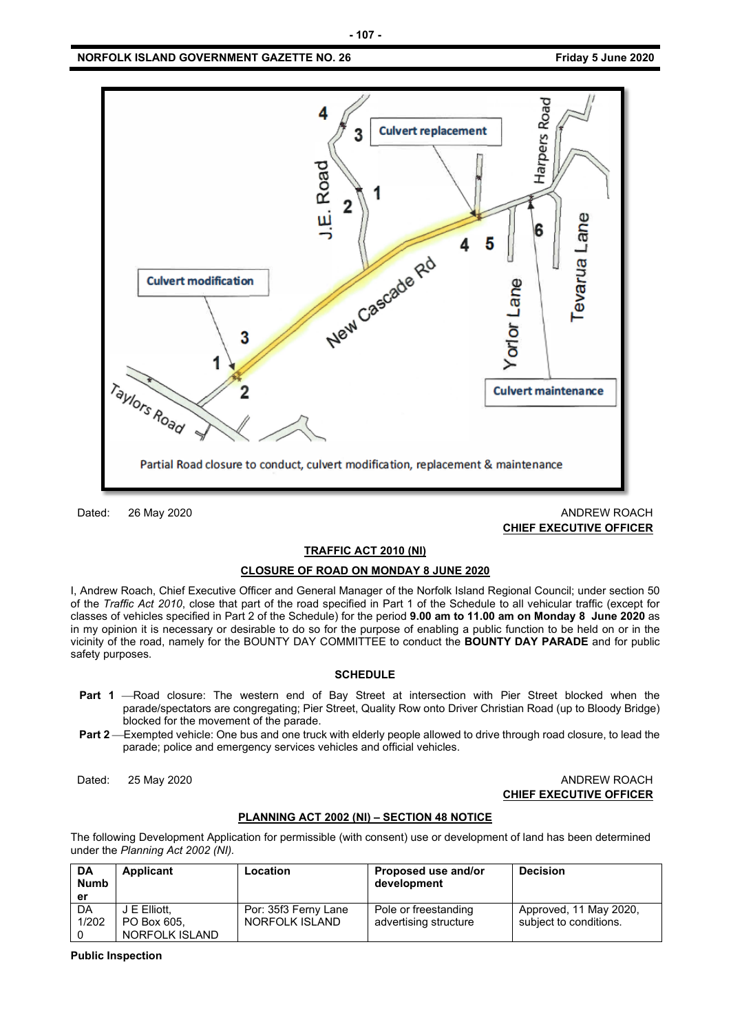

Dated: 26 May 2020 ANDREW ROACH **CHIEF EXECUTIVE OFFICER**

#### **TRAFFIC ACT 2010 (NI)**

#### **CLOSURE OF ROAD ON MONDAY 8 JUNE 2020**

I, Andrew Roach, Chief Executive Officer and General Manager of the Norfolk Island Regional Council; under section 50 of the *Traffic Act 2010*, close that part of the road specified in Part 1 of the Schedule to all vehicular traffic (except for classes of vehicles specified in Part 2 of the Schedule) for the period **9.00 am to 11.00 am on Monday 8 June 2020** as in my opinion it is necessary or desirable to do so for the purpose of enabling a public function to be held on or in the vicinity of the road, namely for the BOUNTY DAY COMMITTEE to conduct the **BOUNTY DAY PARADE** and for public safety purposes.

#### **SCHEDULE**

- **Part 1** -Road closure: The western end of Bay Street at intersection with Pier Street blocked when the parade/spectators are congregating; Pier Street, Quality Row onto Driver Christian Road (up to Bloody Bridge) blocked for the movement of the parade.
- Part 2—Exempted vehicle: One bus and one truck with elderly people allowed to drive through road closure, to lead the parade; police and emergency services vehicles and official vehicles.

#### Dated: 25 May 2020 ANDREW ROACH **CHIEF EXECUTIVE OFFICER**

#### **PLANNING ACT 2002 (NI) – SECTION 48 NOTICE**

The following Development Application for permissible (with consent) use or development of land has been determined under the *Planning Act 2002 (NI).*

| DA<br><b>Numb</b><br>er | Applicant      | Location             | Proposed use and/or<br>development | <b>Decision</b>        |
|-------------------------|----------------|----------------------|------------------------------------|------------------------|
| DA                      | J E Elliott.   | Por: 35f3 Ferny Lane | Pole or freestanding               | Approved, 11 May 2020, |
| 1/202                   | PO Box 605.    | NORFOLK ISLAND       | advertising structure              | subject to conditions. |
|                         | NORFOLK ISLAND |                      |                                    |                        |

**Public Inspection**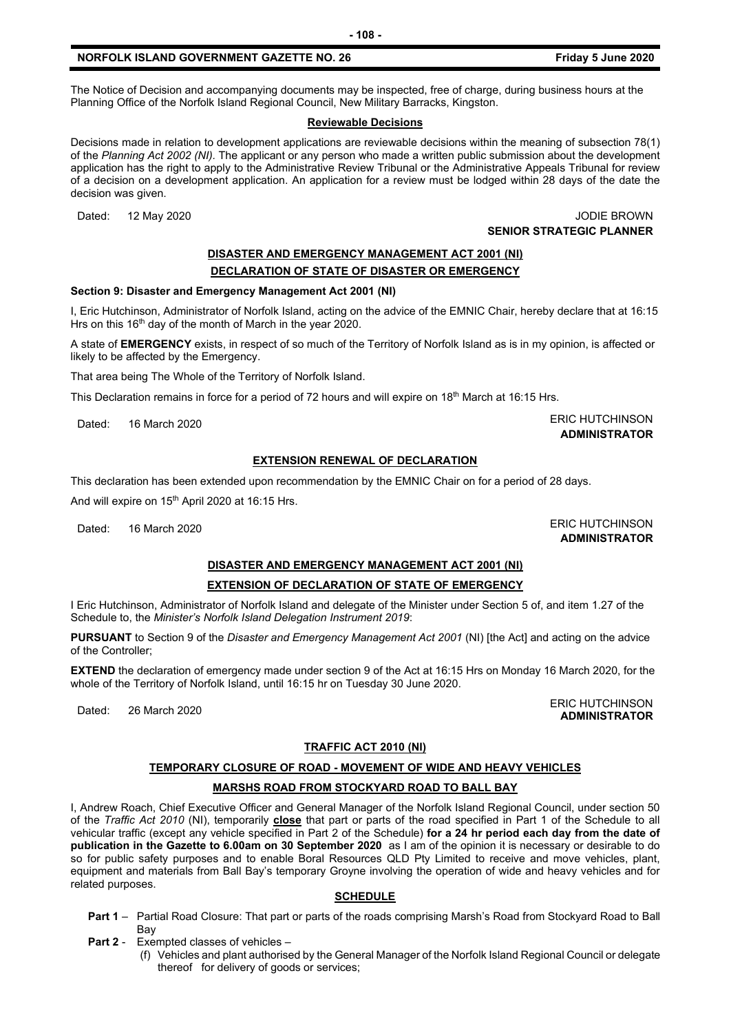The Notice of Decision and accompanying documents may be inspected, free of charge, during business hours at the Planning Office of the Norfolk Island Regional Council, New Military Barracks, Kingston.

#### **Reviewable Decisions**

Decisions made in relation to development applications are reviewable decisions within the meaning of subsection 78(1) of the *Planning Act 2002 (NI).* The applicant or any person who made a written public submission about the development application has the right to apply to the Administrative Review Tribunal or the Administrative Appeals Tribunal for review of a decision on a development application. An application for a review must be lodged within 28 days of the date the decision was given.

Dated: 12 May 2020 JODIE BROWN **SENIOR STRATEGIC PLANNER** 

### **DISASTER AND EMERGENCY MANAGEMENT ACT 2001 (NI) DECLARATION OF STATE OF DISASTER OR EMERGENCY**

#### **Section 9: Disaster and Emergency Management Act 2001 (NI)**

I, Eric Hutchinson, Administrator of Norfolk Island, acting on the advice of the EMNIC Chair, hereby declare that at 16:15 Hrs on this 16<sup>th</sup> day of the month of March in the year 2020.

A state of **EMERGENCY** exists, in respect of so much of the Territory of Norfolk Island as is in my opinion, is affected or likely to be affected by the Emergency.

That area being The Whole of the Territory of Norfolk Island.

This Declaration remains in force for a period of 72 hours and will expire on  $18<sup>th</sup>$  March at 16:15 Hrs.

Dated: 16 March 2020 **ERIC HUTCHINSON ADMINISTRATOR**

#### **EXTENSION RENEWAL OF DECLARATION**

This declaration has been extended upon recommendation by the EMNIC Chair on for a period of 28 days.

And will expire on 15<sup>th</sup> April 2020 at 16:15 Hrs.

Dated: 16 March 2020 **ERIC HUTCHINSON** 

**ADMINISTRATOR**

**ADMINISTRATOR**

# **DISASTER AND EMERGENCY MANAGEMENT ACT 2001 (NI)**

#### **EXTENSION OF DECLARATION OF STATE OF EMERGENCY**

I Eric Hutchinson, Administrator of Norfolk Island and delegate of the Minister under Section 5 of, and item 1.27 of the Schedule to, the *Minister's Norfolk Island Delegation Instrument 2019*:

**PURSUANT** to Section 9 of the *Disaster and Emergency Management Act 2001* (NI) [the Act] and acting on the advice of the Controller;

**EXTEND** the declaration of emergency made under section 9 of the Act at 16:15 Hrs on Monday 16 March 2020, for the whole of the Territory of Norfolk Island, until 16:15 hr on Tuesday 30 June 2020.

Dated: 26 March 2020<br>Dated: 26 March 2020

#### **TRAFFIC ACT 2010 (NI)**

# **TEMPORARY CLOSURE OF ROAD - MOVEMENT OF WIDE AND HEAVY VEHICLES**

#### **MARSHS ROAD FROM STOCKYARD ROAD TO BALL BAY**

I, Andrew Roach, Chief Executive Officer and General Manager of the Norfolk Island Regional Council, under section 50 of the *Traffic Act 2010* (NI), temporarily **close** that part or parts of the road specified in Part 1 of the Schedule to all vehicular traffic (except any vehicle specified in Part 2 of the Schedule) **for a 24 hr period each day from the date of publication in the Gazette to 6.00am on 30 September 2020** as I am of the opinion it is necessary or desirable to do so for public safety purposes and to enable Boral Resources QLD Pty Limited to receive and move vehicles, plant, equipment and materials from Ball Bay's temporary Groyne involving the operation of wide and heavy vehicles and for related purposes.

#### **SCHEDULE**

- **Part 1** Partial Road Closure: That part or parts of the roads comprising Marsh's Road from Stockyard Road to Ball Bay
- **Part 2** Exempted classes of vehicles
	- (f) Vehicles and plant authorised by the General Manager of the Norfolk Island Regional Council or delegate thereof for delivery of goods or services;